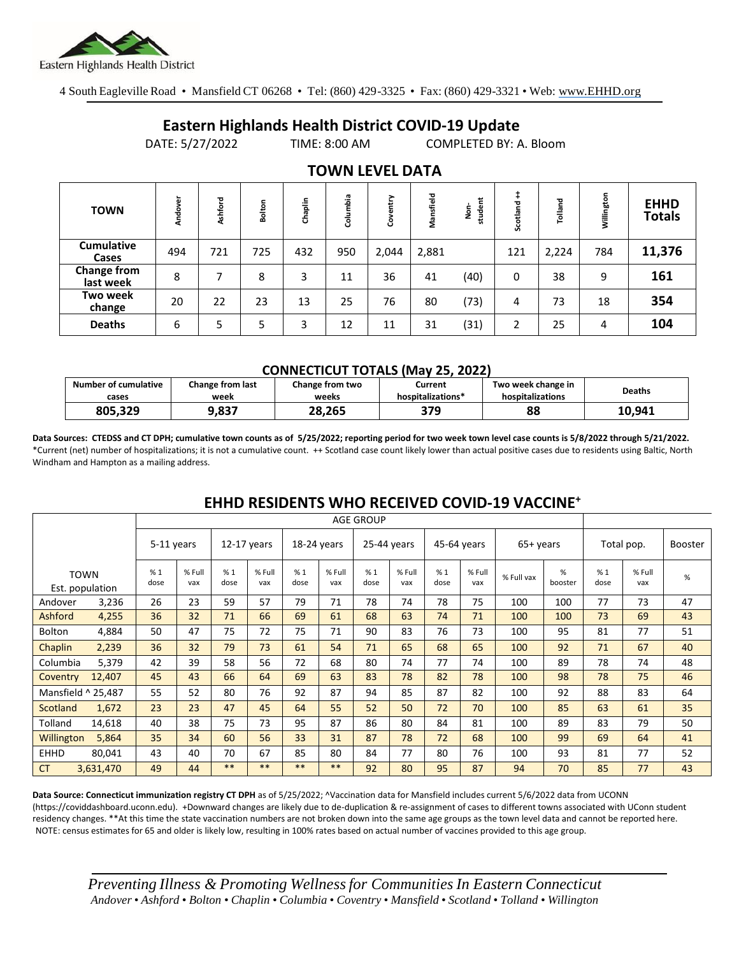

4 South Eagleville Road • Mansfield CT 06268 • Tel: (860) 429-3325 • Fax: (860) 429-3321 • Web: www.EHHD.org

## **Eastern Highlands Health District COVID-19 Update**

DATE: 5/27/2022 TIME: 8:00 AM COMPLETED BY: A. Bloom

| <b>TOWN</b>                     | Andover | Ashford | Bolton | Chaplin | Columbia | entry<br>8 | Mansfield | student<br>ġ | Scotland | Tolland | Willington | <b>EHHD</b><br><b>Totals</b> |
|---------------------------------|---------|---------|--------|---------|----------|------------|-----------|--------------|----------|---------|------------|------------------------------|
| <b>Cumulative</b><br>Cases      | 494     | 721     | 725    | 432     | 950      | 2,044      | 2,881     |              | 121      | 2,224   | 784        | 11,376                       |
| <b>Change from</b><br>last week | 8       | ⇁       | 8      | 3       | 11       | 36         | 41        | (40)         | 0        | 38      | 9          | 161                          |
| Two week<br>change              | 20      | 22      | 23     | 13      | 25       | 76         | 80        | (73)         | 4        | 73      | 18         | 354                          |
| <b>Deaths</b>                   | 6       | 5       | 5      | 3       | 12       | 11         | 31        | (31)         | 2        | 25      | 4          | 104                          |

### **TOWN LEVEL DATA**

#### **CONNECTICUT TOTALS (May 25, 2022)**

| <b>Number of cumulative</b><br>cases | Change from last<br>Change from two<br>week<br>weeks |        | Current<br>hospitalizations* | Two week change in<br>hospitalizations | <b>Deaths</b> |
|--------------------------------------|------------------------------------------------------|--------|------------------------------|----------------------------------------|---------------|
| 805,329                              | 9,837                                                | 28.265 | 379                          | 88                                     | 10.941        |

**Data Sources: CTEDSS and CT DPH; cumulative town counts as of 5/25/2022; reporting period for two week town level case counts is 5/8/2022 through 5/21/2022.** \*Current (net) number of hospitalizations; it is not a cumulative count. ++ Scotland case count likely lower than actual positive cases due to residents using Baltic, North Windham and Hampton as a mailing address.

|             |                                | <b>AGE GROUP</b> |               |             |               |             |               |             |               |             |               |            |              |            |               |                |
|-------------|--------------------------------|------------------|---------------|-------------|---------------|-------------|---------------|-------------|---------------|-------------|---------------|------------|--------------|------------|---------------|----------------|
|             |                                | 5-11 years       |               | 12-17 years |               | 18-24 years |               | 25-44 years |               | 45-64 years |               | 65+ years  |              | Total pop. |               | <b>Booster</b> |
|             |                                |                  |               |             |               |             |               |             |               |             |               |            |              |            |               |                |
|             | <b>TOWN</b><br>Est. population | %1<br>dose       | % Full<br>vax | %1<br>dose  | % Full<br>vax | %1<br>dose  | % Full<br>vax | %1<br>dose  | % Full<br>vax | %1<br>dose  | % Full<br>vax | % Full vax | %<br>booster | %1<br>dose | % Full<br>vax | %              |
| Andover     | 3,236                          | 26               | 23            | 59          | 57            | 79          | 71            | 78          | 74            | 78          | 75            | 100        | 100          | 77         | 73            | 47             |
| Ashford     | 4,255                          | 36               | 32            | 71          | 66            | 69          | 61            | 68          | 63            | 74          | 71            | 100        | 100          | 73         | 69            | 43             |
| Bolton      | 4,884                          | 50               | 47            | 75          | 72            | 75          | 71            | 90          | 83            | 76          | 73            | 100        | 95           | 81         | 77            | 51             |
| Chaplin     | 2,239                          | 36               | 32            | 79          | 73            | 61          | 54            | 71          | 65            | 68          | 65            | 100        | 92           | 71         | 67            | 40             |
| Columbia    | 5,379                          | 42               | 39            | 58          | 56            | 72          | 68            | 80          | 74            | 77          | 74            | 100        | 89           | 78         | 74            | 48             |
| Coventry    | 12,407                         | 45               | 43            | 66          | 64            | 69          | 63            | 83          | 78            | 82          | 78            | 100        | 98           | 78         | 75            | 46             |
|             | Mansfield ^ 25,487             | 55               | 52            | 80          | 76            | 92          | 87            | 94          | 85            | 87          | 82            | 100        | 92           | 88         | 83            | 64             |
| Scotland    | 1,672                          | 23               | 23            | 47          | 45            | 64          | 55            | 52          | 50            | 72          | 70            | 100        | 85           | 63         | 61            | 35             |
| Tolland     | 14,618                         | 40               | 38            | 75          | 73            | 95          | 87            | 86          | 80            | 84          | 81            | 100        | 89           | 83         | 79            | 50             |
| Willington  | 5,864                          | 35               | 34            | 60          | 56            | 33          | 31            | 87          | 78            | 72          | 68            | 100        | 99           | 69         | 64            | 41             |
| <b>EHHD</b> | 80,041                         | 43               | 40            | 70          | 67            | 85          | 80            | 84          | 77            | 80          | 76            | 100        | 93           | 81         | 77            | 52             |
| <b>CT</b>   | 3,631,470                      | 49               | 44            | $***$       | $***$         | $***$       | **            | 92          | 80            | 95          | 87            | 94         | 70           | 85         | 77            | 43             |

### **EHHD RESIDENTS WHO RECEIVED COVID-19 VACCINE<sup>+</sup>**

**Data Source: Connecticut immunization registry CT DPH** as of 5/25/2022; ^Vaccination data for Mansfield includes current 5/6/2022 data from UCONN (https://coviddashboard.uconn.edu). +Downward changes are likely due to de-duplication & re-assignment of cases to different towns associated with UConn student residency changes. \*\*At this time the state vaccination numbers are not broken down into the same age groups as the town level data and cannot be reported here. NOTE: census estimates for 65 and older is likely low, resulting in 100% rates based on actual number of vaccines provided to this age group.

*Preventing Illness & Promoting Wellnessfor Communities In Eastern Connecticut* Andover • Ashford • Bolton • Chaplin • Columbia • Coventry • Mansfield • Scotland • Tolland • Willington